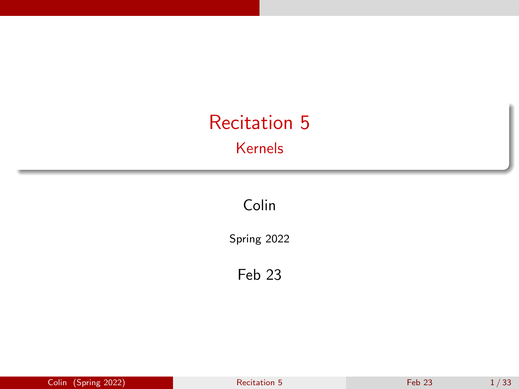# <span id="page-0-0"></span>Recitation 5 Kernels

Colin

Spring 2022

Feb 23

| Colin (Spring 2022) | Recitation 5 | Feb <sub>23</sub> | 1/33 |
|---------------------|--------------|-------------------|------|
|---------------------|--------------|-------------------|------|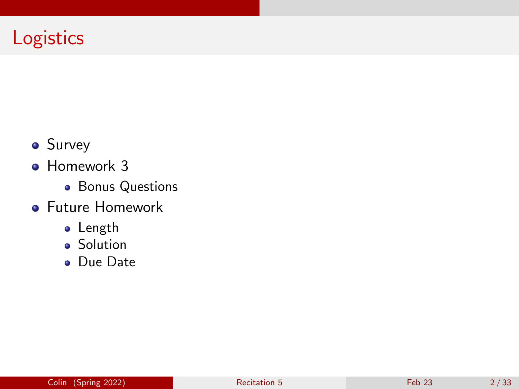## **Logistics**

- **•** Survey
- Homework 3
	- **•** Bonus Questions
- Future Homework
	- **•** Length
	- **•** Solution
	- Due Date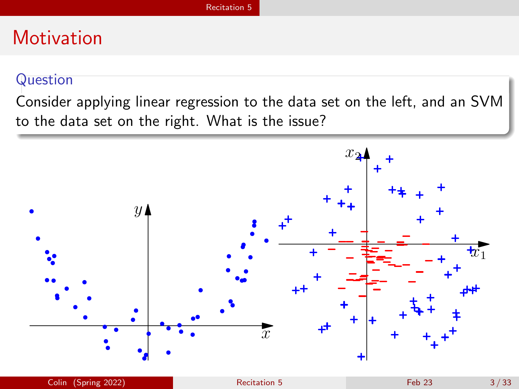### <span id="page-2-0"></span>Question

Consider applying linear regression to the data set on the left, and an SVM to the data set on the right. What is the issue?

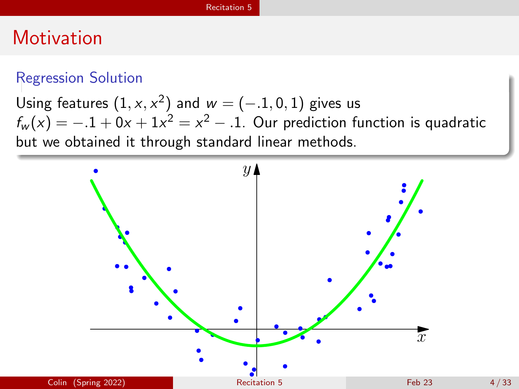### Regression Solution

Using features  $(1, x, x^2)$  and  $w = (-.1, 0, 1)$  gives us  $f_w(x) = -.1 + 0x + 1x^2 = x^2 - .1$ . Our prediction function is quadratic but we obtained it through standard linear methods.

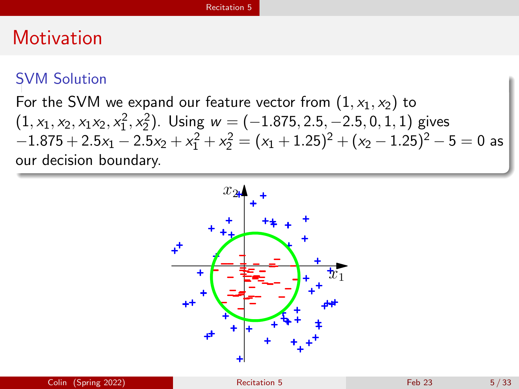### SVM Solution

## For the SVM we expand our feature vector from  $(1, x_1, x_2)$  to  $(1, x_1, x_2, x_1x_2, x_1^2, x_2^2)$ . Using  $w = (-1.875, 2.5, -2.5, 0, 1, 1)$  gives  $-1.875 + 2.5x_1 - 2.5x_2 + x_1^2 + x_2^2 = (x_1 + 1.25)^2 + (x_2 - 1.25)^2 - 5 = 0$  as our decision boundary.

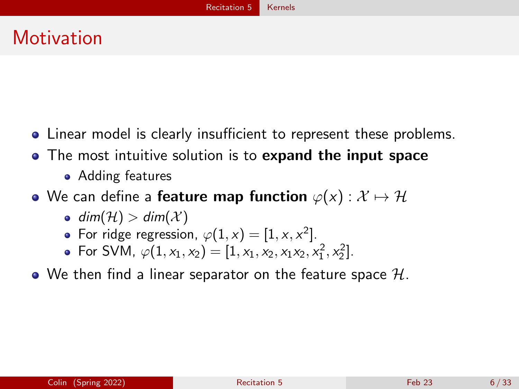- <span id="page-5-0"></span>Linear model is clearly insufficient to represent these problems.
- The most intuitive solution is to expand the input space
	- Adding features
- We can define a **feature map function**  $\varphi(x) : \mathcal{X} \mapsto \mathcal{H}$ 
	- $\bullet$  dim(H)  $>$  dim(X)
	- For ridge regression,  $\varphi(1,x) = [1, x, x^2].$
	- For SVM,  $\varphi(1, x_1, x_2) = [1, x_1, x_2, x_1x_2, x_1^2, x_2^2].$
- We then find a linear separator on the feature space  $\mathcal{H}$ .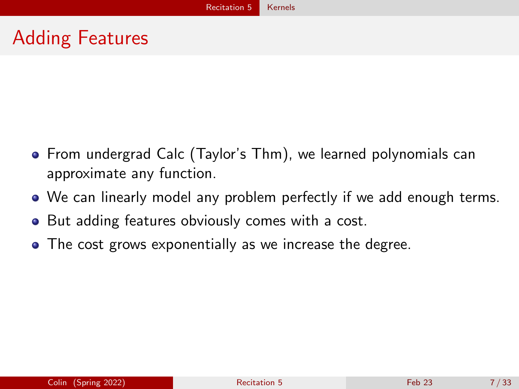## Adding Features

- From undergrad Calc (Taylor's Thm), we learned polynomials can approximate any function.
- We can linearly model any problem perfectly if we add enough terms.
- But adding features obviously comes with a cost.
- The cost grows exponentially as we increase the degree.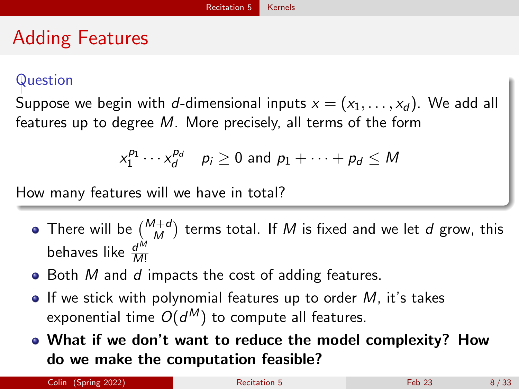# Adding Features

### Question

Suppose we begin with d-dimensional inputs  $x = (x_1, \ldots, x_d)$ . We add all features up to degree M. More precisely, all terms of the form

$$
x_1^{p_1} \cdots x_d^{p_d} \quad p_i \ge 0 \text{ and } p_1 + \cdots + p_d \le M
$$

How many features will we have in total?

- There will be  $\binom{M+d}{M}$  terms total. If  $M$  is fixed and we let  $d$  grow, this behaves like  $\frac{d^{M}}{M!}$ M!
- $\bullet$  Both M and d impacts the cost of adding features.
- $\bullet$  If we stick with polynomial features up to order M, it's takes exponential time  $O(d^\mathcal{M})$  to compute all features.
- What if we don't want to reduce the model complexity? How do we make the computation feasible?

Colin (Spring 2022) **[Recitation 5](#page-0-0)** Recitation 5 Feb 23 8 / 33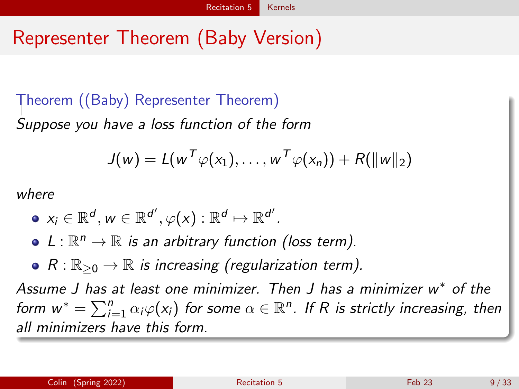# Representer Theorem (Baby Version)

## Theorem ((Baby) Representer Theorem) Suppose you have a loss function of the form

$$
J(w) = L(wT\varphi(x_1), \ldots, wT\varphi(x_n)) + R(||w||_2)
$$

where

- $\mathsf{x}_{i} \in \mathbb{R}^{d}, \mathsf{w} \in \mathbb{R}^{d'}, \varphi(\mathsf{x}): \mathbb{R}^{d} \mapsto \mathbb{R}^{d'}.$
- $L: \mathbb{R}^n \to \mathbb{R}$  is an arbitrary function (loss term).
- $R: \mathbb{R}_{\geq 0} \to \mathbb{R}$  is increasing (regularization term).

Assume J has at least one minimizer. Then J has a minimizer w<sup>\*</sup> of the form  $w^* = \sum_{i=1}^n \alpha_i \varphi(x_i)$  for some  $\alpha \in \mathbb{R}^n$ . If R is strictly increasing, then all minimizers have this form.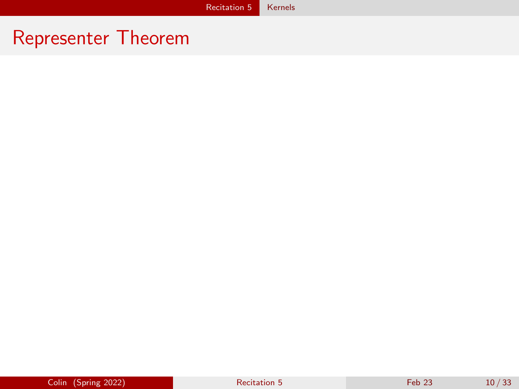## Representer Theorem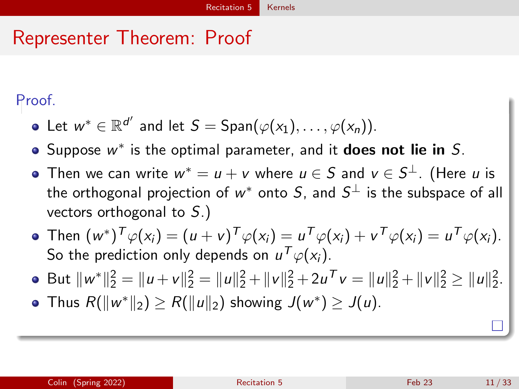## Representer Theorem: Proof

### Proof.

- Let  $w^* \in \mathbb{R}^{d'}$  and let  $S = \mathsf{Span}(\varphi(\mathsf{x}_1), \ldots, \varphi(\mathsf{x}_n)).$
- Suppose  $w^*$  is the optimal parameter, and it **does not lie in** S.
- Then we can write  $w^* = u + v$  where  $u \in \mathcal{S}$  and  $v \in \mathcal{S}^\perp.$  (Here  $u$  is the orthogonal projection of  $w^*$  onto  $S$ , and  $S^\perp$  is the subspace of all vectors orthogonal to S.)
- Then  $(w^*)^T \varphi(x_i) = (u + v)^T \varphi(x_i) = u^T \varphi(x_i) + v^T \varphi(x_i) = u^T \varphi(x_i)$ . So the prediction only depends on  $u^{\mathcal{T}}\varphi(\mathsf{x}_i).$
- But  $||w^*||_2^2 = ||u + v||_2^2 = ||u||_2^2 + ||v||_2^2 + 2u^T v = ||u||_2^2 + ||v||_2^2 \ge ||u||_2^2$ .
- Thus  $R(\|w^*\|_2) \ge R(\|u\|_2)$  showing  $J(w^*) \ge J(u)$ .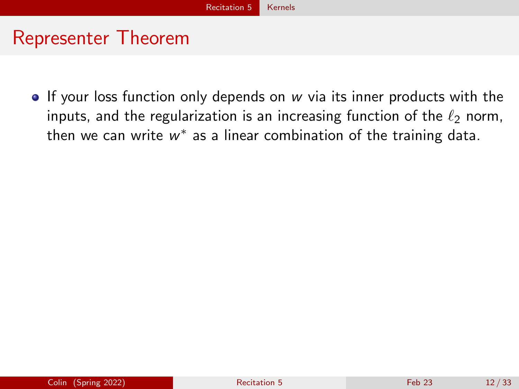## Representer Theorem

If your loss function only depends on  $w$  via its inner products with the inputs, and the regularization is an increasing function of the  $\ell_2$  norm, then we can write  $w^*$  as a linear combination of the training data.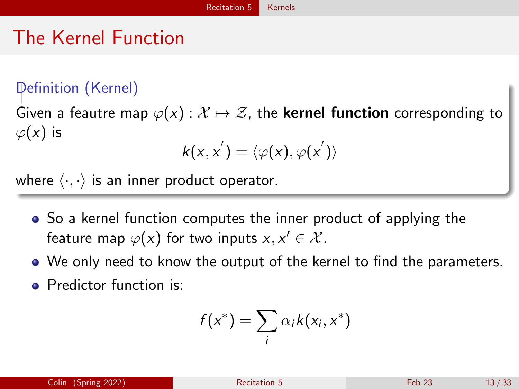# The Kernel Function

### Definition (Kernel)

Given a feautre map  $\varphi(x) : \mathcal{X} \mapsto \mathcal{Z}$ , the **kernel function** corresponding to  $\varphi(x)$  is

$$
k(x,x^{'}) = \langle \varphi(x), \varphi(x^{'}) \rangle
$$

where  $\langle \cdot, \cdot \rangle$  is an inner product operator.

- So a kernel function computes the inner product of applying the feature map  $\varphi(x)$  for two inputs  $x, x' \in \mathcal{X}$ .
- We only need to know the output of the kernel to find the parameters.
- Predictor function is:

$$
f(x^*) = \sum_i \alpha_i k(x_i, x^*)
$$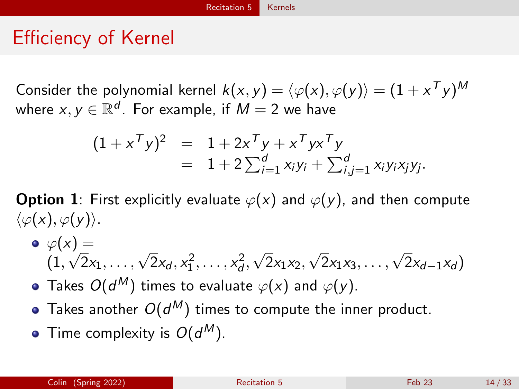## Efficiency of Kernel

Consider the polynomial kernel  $k(x,y)=\langle \varphi(x),\varphi(y)\rangle=(1+x^{\sf T}y)^{\sf M}$ where  $x,y\in\mathbb{R}^d.$  For example, if  $M=2$  we have

$$
(1 + xTy)2 = 1 + 2xTy + xTyxTy = 1 + 2 \sum_{i=1}^{d} x_i y_i + \sum_{i,j=1}^{d} x_i y_i x_j y_j.
$$

**Option 1**: First explicitly evaluate  $\varphi(x)$  and  $\varphi(y)$ , and then compute  $\langle \varphi(x), \varphi(y) \rangle$ .

- $\bullet$   $\varphi(x) =$  $(1,$  $\sqrt{2}x_1, \ldots, \sqrt{2}x_d, x_1^2, \ldots, x_d^2,$ √  $2x_1x_2,$  $\sqrt{2}x_1x_3,\ldots,\sqrt{2}x_{d-1}x_d$
- Takes  $O(d^\mathcal{M})$  times to evaluate  $\varphi(\mathsf{x})$  and  $\varphi(\mathsf{y})$ .
- Takes another  $O(d^M)$  times to compute the inner product.
- Time complexity is  $O(d^M)$ .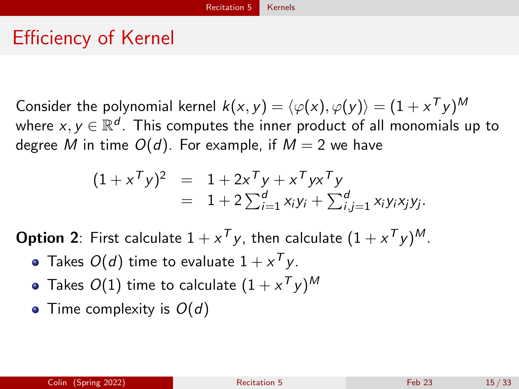# Efficiency of Kernel

Consider the polynomial kernel  $k(x,y)=\langle \varphi(x),\varphi(y)\rangle=(1+x^{\sf T}y)^{\sf M}$ where  $\mathsf{x},\mathsf{y}\in\mathbb{R}^d$  . This computes the inner product of all monomials up to degree M in time  $O(d)$ . For example, if  $M = 2$  we have

$$
(1 + xTy)2 = 1 + 2xTy + xTyxTy = 1 + 2\sum_{i=1}^{d} x_iy_i + \sum_{i,j=1}^{d} x_iy_ix_jy_j.
$$

**Option 2**: First calculate  $1 + x^T y$ , then calculate  $(1 + x^T y)^M$ .

- Takes  $O(d)$  time to evaluate  $1+\mathsf{x}^\mathsf{T}\mathsf{y}.$
- Takes  $O(1)$  time to calculate  $(1+x^{\mathcal{T}}y)^{\mathcal{M}}$
- Time complexity is  $O(d)$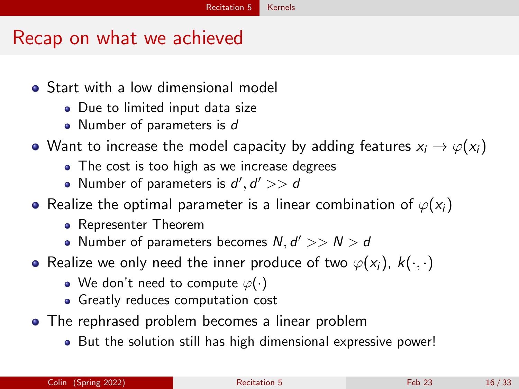## Recap on what we achieved

- **•** Start with a low dimensional model
	- Due to limited input data size
	- Number of parameters is d
- Want to increase the model capacity by adding features  $x_i \rightarrow \varphi(x_i)$ 
	- The cost is too high as we increase degrees
	- Number of parameters is  $d', d' >> d$
- Realize the optimal parameter is a linear combination of  $\varphi(x_i)$ 
	- Representer Theorem
	- Number of parameters becomes  $N, d' >> N > d$
- Realize we only need the inner produce of two  $\varphi(x_i)$ ,  $k(\cdot, \cdot)$ 
	- We don't need to compute  $\varphi(\cdot)$
	- **Greatly reduces computation cost**
- The rephrased problem becomes a linear problem
	- But the solution still has high dimensional expressive power!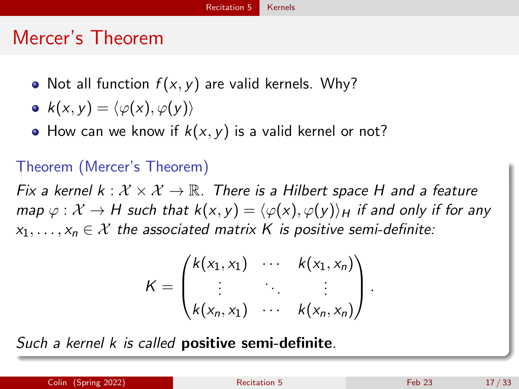# Mercer's Theorem

- Not all function  $f(x, y)$  are valid kernels. Why?
- $k(x, y) = \langle \varphi(x), \varphi(y) \rangle$
- How can we know if  $k(x, y)$  is a valid kernel or not?

## Theorem (Mercer's Theorem)

Fix a kernel  $k : \mathcal{X} \times \mathcal{X} \to \mathbb{R}$ . There is a Hilbert space H and a feature map  $\varphi : \mathcal{X} \to H$  such that  $k(x, y) = \langle \varphi(x), \varphi(y) \rangle_H$  if and only if for any  $x_1, \ldots, x_n \in \mathcal{X}$  the associated matrix K is positive semi-definite:

$$
K = \begin{pmatrix} k(x_1, x_1) & \cdots & k(x_1, x_n) \\ \vdots & \ddots & \vdots \\ k(x_n, x_1) & \cdots & k(x_n, x_n) \end{pmatrix}.
$$

Such a kernel k is called **positive semi-definite**.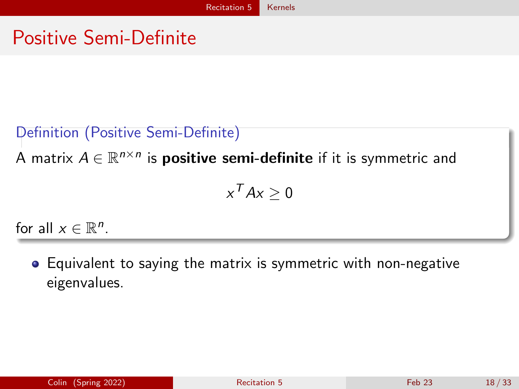## Positive Semi-Definite

## Definition (Positive Semi-Definite)

A matrix  $A \in \mathbb{R}^{n \times n}$  is **positive semi-definite** if it is symmetric and

$$
x^T A x \geq 0
$$

for all  $x \in \mathbb{R}^n$ .

Equivalent to saying the matrix is symmetric with non-negative eigenvalues.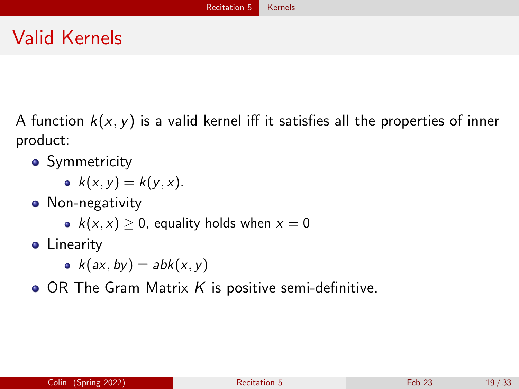# Valid Kernels

A function  $k(x, y)$  is a valid kernel iff it satisfies all the properties of inner product:

- **•** Symmetricity
	- $k(x, y) = k(y, x)$ .
- Non-negativity
	- $k(x, x) \geq 0$ , equality holds when  $x = 0$
- **•** Linearity
	- $k(ax, by) = abk(x, y)$
- $\bullet$  OR The Gram Matrix K is positive semi-definitive.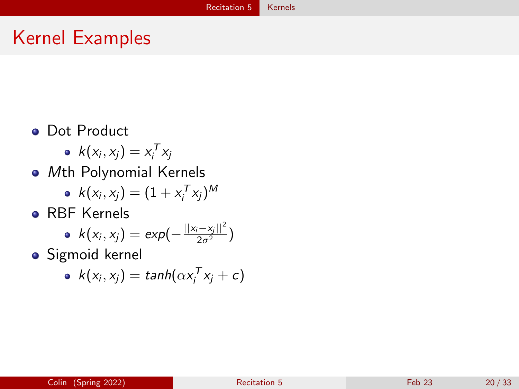## Kernel Examples

- **•** Dot Product
	- $k(x_i, x_j) = x_i^T x_j$
- Mth Polynomial Kernels
	- $k(x_i, x_j) = (1 + x_i^T x_j)^M$
- **RBF Kernels**

• 
$$
k(x_i, x_j) = exp(-\frac{||x_i - x_j||^2}{2\sigma^2})
$$

**·** Sigmoid kernel

• 
$$
k(x_i, x_j) = \tanh(\alpha x_i^T x_j + c)
$$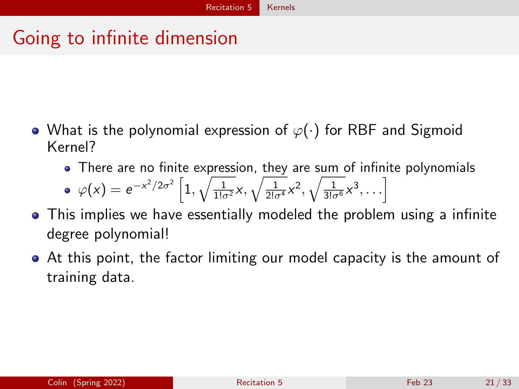## Going to infinite dimension

- What is the polynomial expression of  $\varphi(\cdot)$  for RBF and Sigmoid Kernel?
	- There are no finite expression, they are sum of infinite polynomials

• 
$$
\varphi(x) = e^{-x^2/2\sigma^2} \left[ 1, \sqrt{\frac{1}{1!\sigma^2}} x, \sqrt{\frac{1}{2!\sigma^4}} x^2, \sqrt{\frac{1}{3!\sigma^6}} x^3, \ldots \right]
$$

- This implies we have essentially modeled the problem using a infinite degree polynomial!
- At this point, the factor limiting our model capacity is the amount of training data.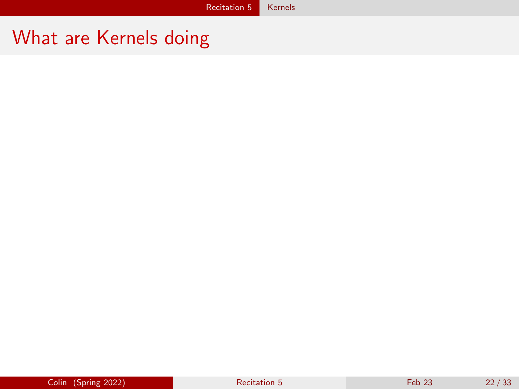## What are Kernels doing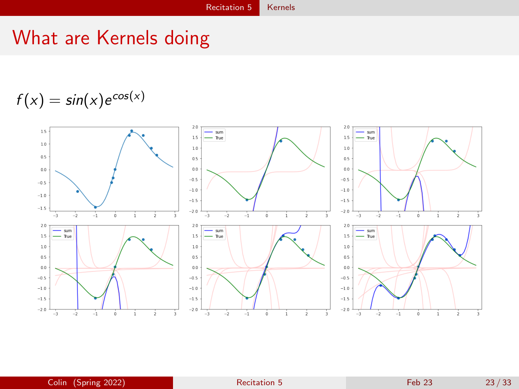## What are Kernels doing

$$
f(x) = \sin(x) e^{\cos(x)}
$$

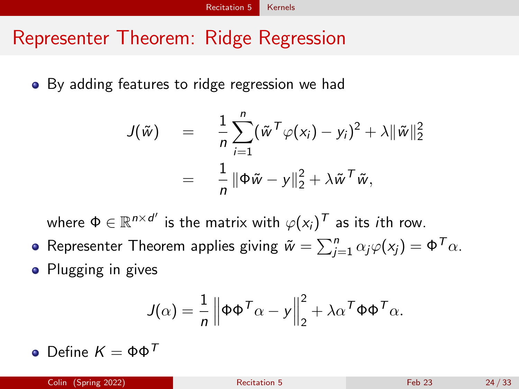## Representer Theorem: Ridge Regression

By adding features to ridge regression we had

$$
J(\tilde{w}) = \frac{1}{n} \sum_{i=1}^{n} (\tilde{w}^{T} \varphi(x_i) - y_i)^2 + \lambda ||\tilde{w}||_2^2
$$
  
= 
$$
\frac{1}{n} ||\Phi \tilde{w} - y||_2^2 + \lambda \tilde{w}^{T} \tilde{w},
$$

where  $\Phi \in \mathbb{R}^{n \times d'}$  is the matrix with  $\varphi(\mathsf{x}_i)^{\mathcal{T}}$  as its  $i$ th row.

Representer Theorem applies giving  $\tilde{w} = \sum_{j=1}^n \alpha_j \varphi(\mathsf{x}_j) = \Phi^\mathcal{T}\alpha.$ • Plugging in gives

$$
J(\alpha) = \frac{1}{n} \left\| \Phi \Phi^{\mathsf{T}} \alpha - y \right\|_2^2 + \lambda \alpha^{\mathsf{T}} \Phi \Phi^{\mathsf{T}} \alpha.
$$

 $\bullet$  Define  $K = \Phi \Phi^{\mathcal{T}}$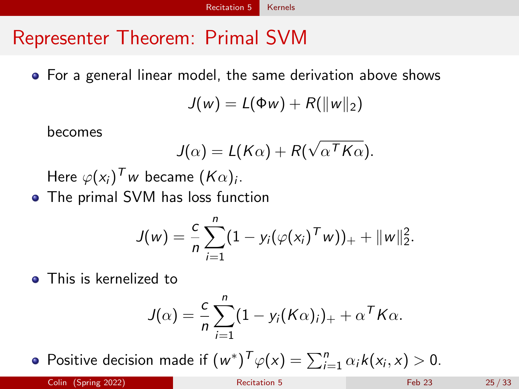## Representer Theorem: Primal SVM

For a general linear model, the same derivation above shows

$$
J(w) = L(\Phi w) + R(||w||_2)
$$

becomes

$$
J(\alpha) = L(K\alpha) + R(\sqrt{\alpha^T K\alpha}).
$$

Here  $\varphi({\mathsf{x}}_i)^{\mathsf{T}}$ w became  $({\mathsf{K}} \alpha)_i.$ 

• The primal SVM has loss function

$$
J(w) = \frac{c}{n} \sum_{i=1}^{n} (1 - y_i(\varphi(x_i)^T w))_+ + ||w||_2^2.
$$

**•** This is kernelized to

$$
J(\alpha) = \frac{c}{n} \sum_{i=1}^{n} (1 - y_i(K\alpha)_i)_{+} + \alpha^T K\alpha.
$$

Positive decision made if  $(w^*)^T \varphi(x) = \sum_{i=1}^n \alpha_i k(x_i, x) > 0$ .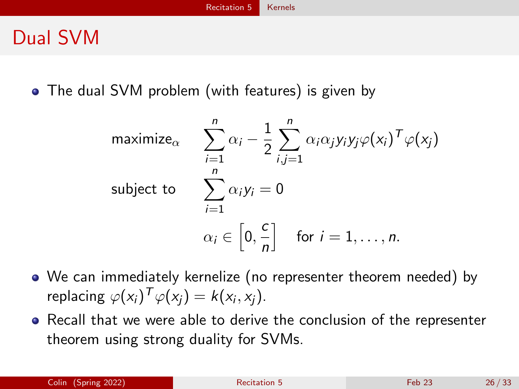## Dual SVM

• The dual SVM problem (with features) is given by

$$
\begin{aligned}\n\text{maximize}_{\alpha} & \sum_{i=1}^{n} \alpha_i - \frac{1}{2} \sum_{i,j=1}^{n} \alpha_i \alpha_j y_i y_j \varphi(x_i)^T \varphi(x_j) \\
\text{subject to} & \sum_{i=1}^{n} \alpha_i y_i = 0 \\
& \alpha_i \in \left[0, \frac{c}{n}\right] \quad \text{for } i = 1, \dots, n.\n\end{aligned}
$$

- We can immediately kernelize (no representer theorem needed) by replacing  $\varphi(x_i)^{\mathsf{T}} \varphi(x_j) = k(x_i, x_j)$ .
- Recall that we were able to derive the conclusion of the representer theorem using strong duality for SVMs.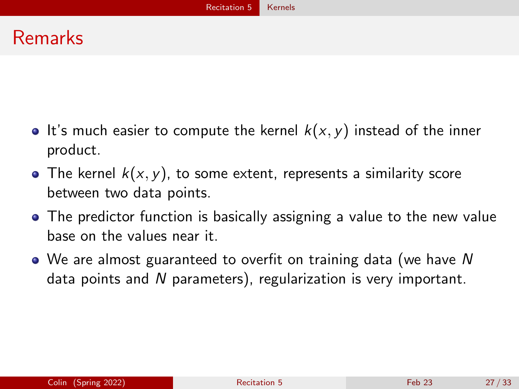## Remarks

- It's much easier to compute the kernel  $k(x, y)$  instead of the inner product.
- The kernel  $k(x, y)$ , to some extent, represents a similarity score between two data points.
- The predictor function is basically assigning a value to the new value base on the values near it.
- We are almost guaranteed to overfit on training data (we have N data points and N parameters), regularization is very important.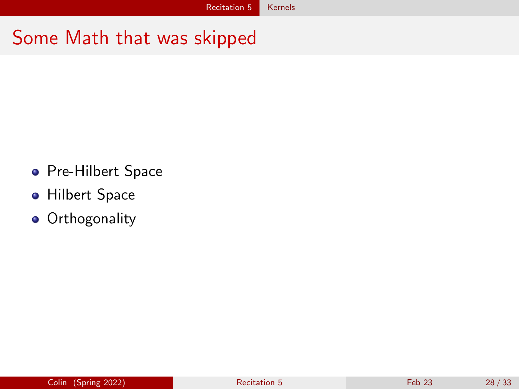## Some Math that was skipped

- **•** Pre-Hilbert Space
- **Hilbert Space**
- **•** Orthogonality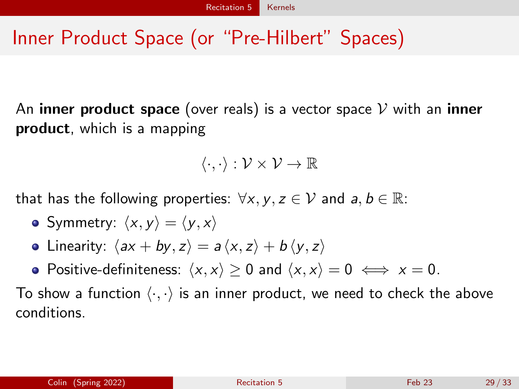# Inner Product Space (or "Pre-Hilbert" Spaces)

An **inner product space** (over reals) is a vector space  $\mathcal V$  with an **inner** product, which is a mapping

 $\langle \cdot, \cdot \rangle : \mathcal{V} \times \mathcal{V} \to \mathbb{R}$ 

that has the following properties:  $\forall x, y, z \in \mathcal{V}$  and  $a, b \in \mathbb{R}$ :

- Symmetry:  $\langle x, y \rangle = \langle y, x \rangle$
- Linearity:  $\langle ax + by, z \rangle = a \langle x, z \rangle + b \langle y, z \rangle$
- Positive-definiteness:  $\langle x, x \rangle \ge 0$  and  $\langle x, x \rangle = 0 \iff x = 0$ .

To show a function  $\langle \cdot, \cdot \rangle$  is an inner product, we need to check the above conditions.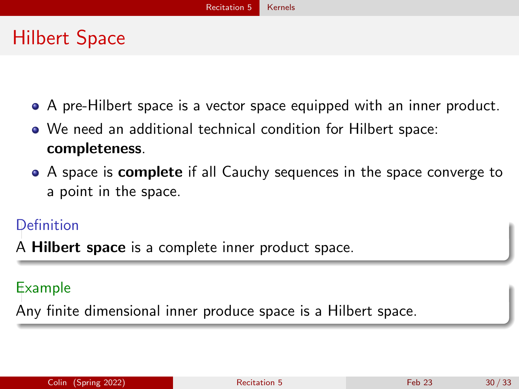# Hilbert Space

- A pre-Hilbert space is a vector space equipped with an inner product.
- We need an additional technical condition for Hilbert space: completeness.
- A space is **complete** if all Cauchy sequences in the space converge to a point in the space.

### **Definition**

A **Hilbert space** is a complete inner product space.

### Example

Any finite dimensional inner produce space is a Hilbert space.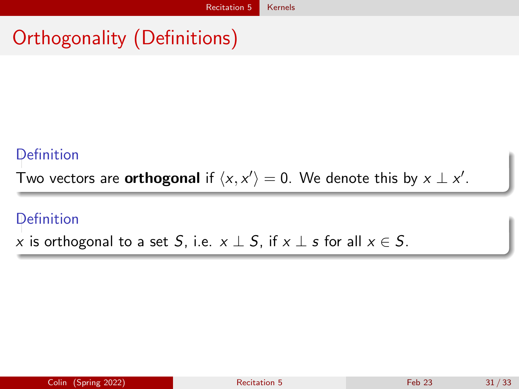# Orthogonality (Definitions)

### Definition

Two vectors are **orthogonal** if  $\langle x, x' \rangle = 0$ . We denote this by  $x \perp x'$ .

### Definition

x is orthogonal to a set S, i.e.  $x \perp S$ , if  $x \perp s$  for all  $x \in S$ .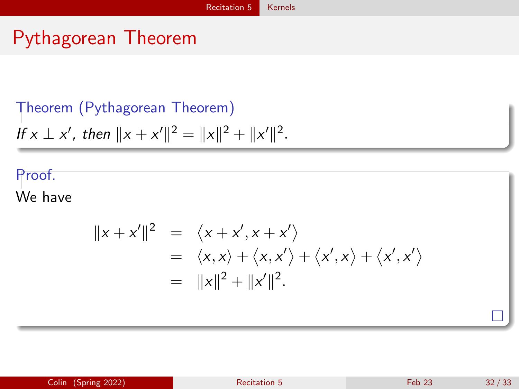# Pythagorean Theorem

## Theorem (Pythagorean Theorem)

If 
$$
x \perp x'
$$
, then  $||x + x'||^2 = ||x||^2 + ||x'||^2$ .

### Proof.

We have

$$
||x + x'||^2 = \langle x + x', x + x' \rangle
$$
  
=  $\langle x, x \rangle + \langle x, x' \rangle + \langle x', x \rangle + \langle x', x' \rangle$   
=  $||x||^2 + ||x'||^2$ .